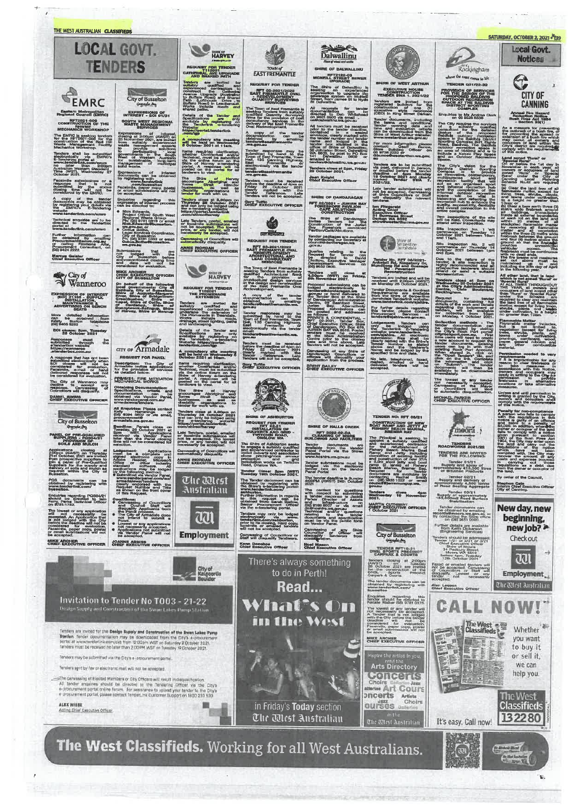

t.